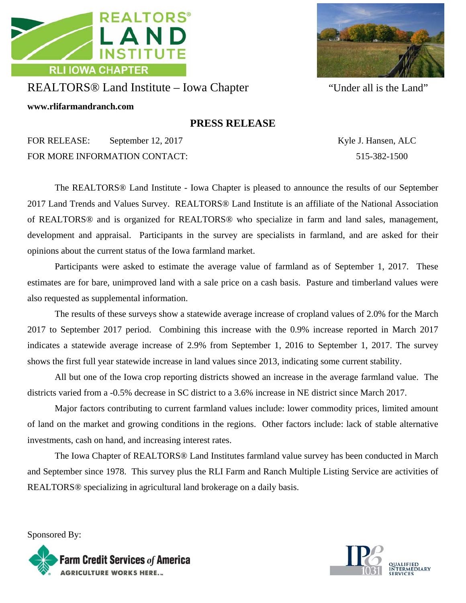



## REALTORS® Land Institute – Iowa Chapter "Under all is the Land"

**www.rlifarmandranch.com** 

## **PRESS RELEASE**

FOR RELEASE: September 12, 2017 Kyle J. Hansen, ALC FOR MORE INFORMATION CONTACT: 515-382-1500

 The REALTORS® Land Institute - Iowa Chapter is pleased to announce the results of our September 2017 Land Trends and Values Survey. REALTORS® Land Institute is an affiliate of the National Association of REALTORS® and is organized for REALTORS® who specialize in farm and land sales, management, development and appraisal. Participants in the survey are specialists in farmland, and are asked for their opinions about the current status of the Iowa farmland market.

 Participants were asked to estimate the average value of farmland as of September 1, 2017. These estimates are for bare, unimproved land with a sale price on a cash basis. Pasture and timberland values were also requested as supplemental information.

 The results of these surveys show a statewide average increase of cropland values of 2.0% for the March 2017 to September 2017 period. Combining this increase with the 0.9% increase reported in March 2017 indicates a statewide average increase of 2.9% from September 1, 2016 to September 1, 2017. The survey shows the first full year statewide increase in land values since 2013, indicating some current stability.

 All but one of the Iowa crop reporting districts showed an increase in the average farmland value. The districts varied from a -0.5% decrease in SC district to a 3.6% increase in NE district since March 2017.

 Major factors contributing to current farmland values include: lower commodity prices, limited amount of land on the market and growing conditions in the regions. Other factors include: lack of stable alternative investments, cash on hand, and increasing interest rates.

 The Iowa Chapter of REALTORS® Land Institutes farmland value survey has been conducted in March and September since 1978. This survey plus the RLI Farm and Ranch Multiple Listing Service are activities of REALTORS® specializing in agricultural land brokerage on a daily basis.

Sponsored By: